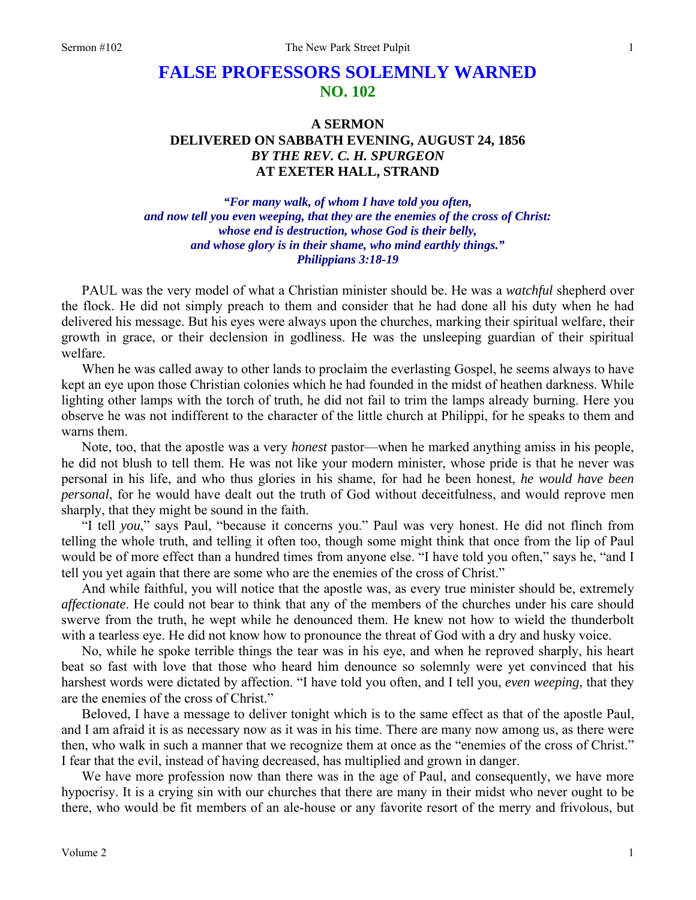## **FALSE PROFESSORS SOLEMNLY WARNED NO. 102**

## **A SERMON DELIVERED ON SABBATH EVENING, AUGUST 24, 1856**  *BY THE REV. C. H. SPURGEON*  **AT EXETER HALL, STRAND**

*"For many walk, of whom I have told you often, and now tell you even weeping, that they are the enemies of the cross of Christ: whose end is destruction, whose God is their belly, and whose glory is in their shame, who mind earthly things." Philippians 3:18-19* 

PAUL was the very model of what a Christian minister should be. He was a *watchful* shepherd over the flock. He did not simply preach to them and consider that he had done all his duty when he had delivered his message. But his eyes were always upon the churches, marking their spiritual welfare, their growth in grace, or their declension in godliness. He was the unsleeping guardian of their spiritual welfare.

When he was called away to other lands to proclaim the everlasting Gospel, he seems always to have kept an eye upon those Christian colonies which he had founded in the midst of heathen darkness. While lighting other lamps with the torch of truth, he did not fail to trim the lamps already burning. Here you observe he was not indifferent to the character of the little church at Philippi, for he speaks to them and warns them.

Note, too, that the apostle was a very *honest* pastor—when he marked anything amiss in his people, he did not blush to tell them. He was not like your modern minister, whose pride is that he never was personal in his life, and who thus glories in his shame, for had he been honest, *he would have been personal*, for he would have dealt out the truth of God without deceitfulness, and would reprove men sharply, that they might be sound in the faith.

"I tell *you*," says Paul, "because it concerns you." Paul was very honest. He did not flinch from telling the whole truth, and telling it often too, though some might think that once from the lip of Paul would be of more effect than a hundred times from anyone else. "I have told you often," says he, "and I tell you yet again that there are some who are the enemies of the cross of Christ."

And while faithful, you will notice that the apostle was, as every true minister should be, extremely *affectionate*. He could not bear to think that any of the members of the churches under his care should swerve from the truth, he wept while he denounced them. He knew not how to wield the thunderbolt with a tearless eye. He did not know how to pronounce the threat of God with a dry and husky voice.

No, while he spoke terrible things the tear was in his eye, and when he reproved sharply, his heart beat so fast with love that those who heard him denounce so solemnly were yet convinced that his harshest words were dictated by affection. "I have told you often, and I tell you, *even weeping*, that they are the enemies of the cross of Christ."

Beloved, I have a message to deliver tonight which is to the same effect as that of the apostle Paul, and I am afraid it is as necessary now as it was in his time. There are many now among us, as there were then, who walk in such a manner that we recognize them at once as the "enemies of the cross of Christ." I fear that the evil, instead of having decreased, has multiplied and grown in danger.

We have more profession now than there was in the age of Paul, and consequently, we have more hypocrisy. It is a crying sin with our churches that there are many in their midst who never ought to be there, who would be fit members of an ale-house or any favorite resort of the merry and frivolous, but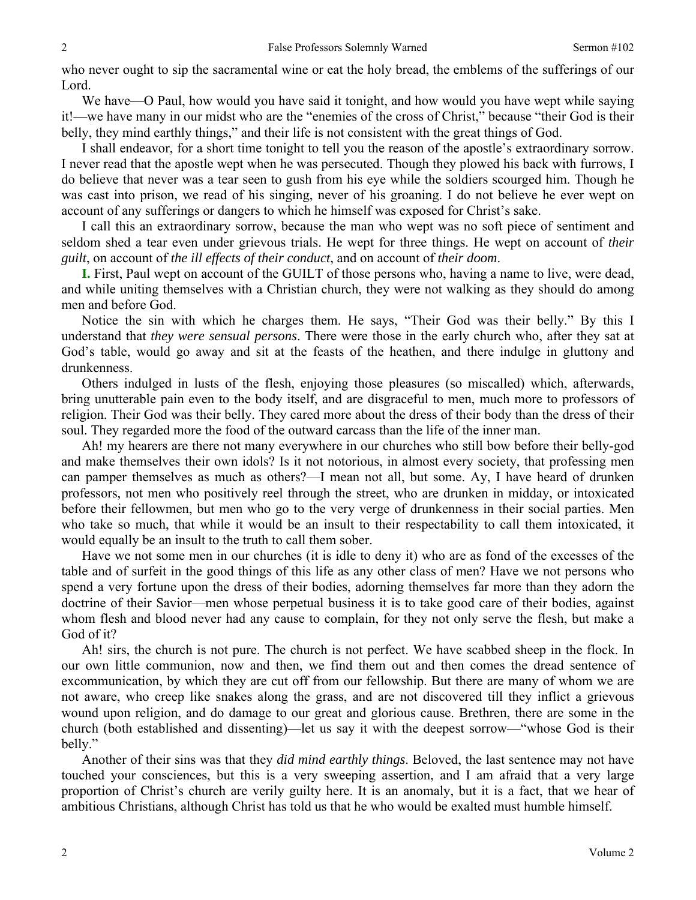who never ought to sip the sacramental wine or eat the holy bread, the emblems of the sufferings of our Lord.

We have—O Paul, how would you have said it tonight, and how would you have wept while saying it!—we have many in our midst who are the "enemies of the cross of Christ," because "their God is their belly, they mind earthly things," and their life is not consistent with the great things of God.

I shall endeavor, for a short time tonight to tell you the reason of the apostle's extraordinary sorrow. I never read that the apostle wept when he was persecuted. Though they plowed his back with furrows, I do believe that never was a tear seen to gush from his eye while the soldiers scourged him. Though he was cast into prison, we read of his singing, never of his groaning. I do not believe he ever wept on account of any sufferings or dangers to which he himself was exposed for Christ's sake.

I call this an extraordinary sorrow, because the man who wept was no soft piece of sentiment and seldom shed a tear even under grievous trials. He wept for three things. He wept on account of *their guilt*, on account of *the ill effects of their conduct*, and on account of *their doom*.

**I.** First, Paul wept on account of the GUILT of those persons who, having a name to live, were dead, and while uniting themselves with a Christian church, they were not walking as they should do among men and before God.

Notice the sin with which he charges them. He says, "Their God was their belly." By this I understand that *they were sensual persons*. There were those in the early church who, after they sat at God's table, would go away and sit at the feasts of the heathen, and there indulge in gluttony and drunkenness.

Others indulged in lusts of the flesh, enjoying those pleasures (so miscalled) which, afterwards, bring unutterable pain even to the body itself, and are disgraceful to men, much more to professors of religion. Their God was their belly. They cared more about the dress of their body than the dress of their soul. They regarded more the food of the outward carcass than the life of the inner man.

Ah! my hearers are there not many everywhere in our churches who still bow before their belly-god and make themselves their own idols? Is it not notorious, in almost every society, that professing men can pamper themselves as much as others?—I mean not all, but some. Ay, I have heard of drunken professors, not men who positively reel through the street, who are drunken in midday, or intoxicated before their fellowmen, but men who go to the very verge of drunkenness in their social parties. Men who take so much, that while it would be an insult to their respectability to call them intoxicated, it would equally be an insult to the truth to call them sober.

Have we not some men in our churches (it is idle to deny it) who are as fond of the excesses of the table and of surfeit in the good things of this life as any other class of men? Have we not persons who spend a very fortune upon the dress of their bodies, adorning themselves far more than they adorn the doctrine of their Savior—men whose perpetual business it is to take good care of their bodies, against whom flesh and blood never had any cause to complain, for they not only serve the flesh, but make a God of it?

Ah! sirs, the church is not pure. The church is not perfect. We have scabbed sheep in the flock. In our own little communion, now and then, we find them out and then comes the dread sentence of excommunication, by which they are cut off from our fellowship. But there are many of whom we are not aware, who creep like snakes along the grass, and are not discovered till they inflict a grievous wound upon religion, and do damage to our great and glorious cause. Brethren, there are some in the church (both established and dissenting)—let us say it with the deepest sorrow—"whose God is their belly."

Another of their sins was that they *did mind earthly things*. Beloved, the last sentence may not have touched your consciences, but this is a very sweeping assertion, and I am afraid that a very large proportion of Christ's church are verily guilty here. It is an anomaly, but it is a fact, that we hear of ambitious Christians, although Christ has told us that he who would be exalted must humble himself.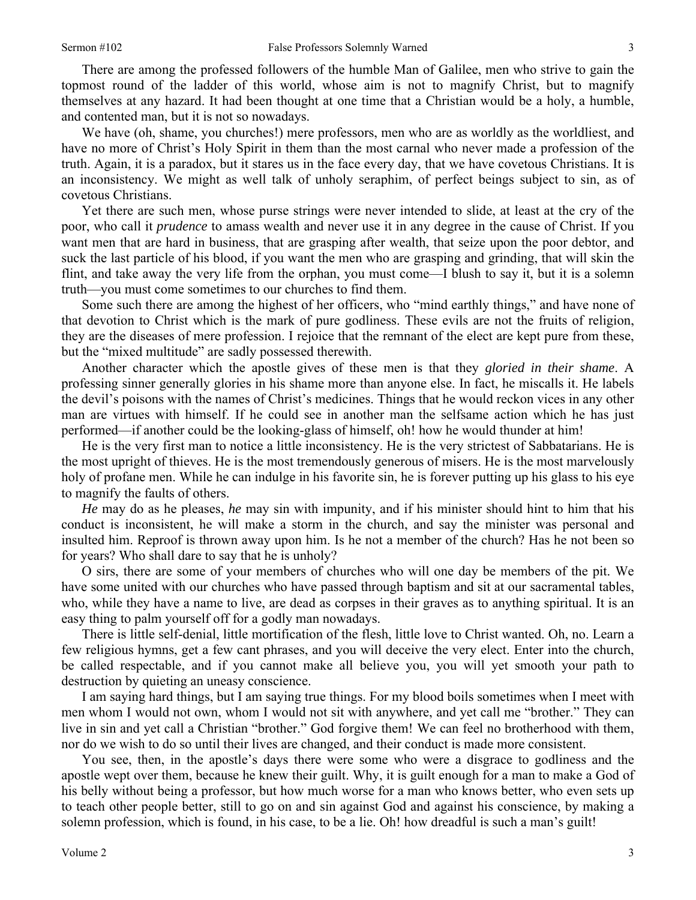There are among the professed followers of the humble Man of Galilee, men who strive to gain the topmost round of the ladder of this world, whose aim is not to magnify Christ, but to magnify themselves at any hazard. It had been thought at one time that a Christian would be a holy, a humble, and contented man, but it is not so nowadays.

We have (oh, shame, you churches!) mere professors, men who are as worldly as the worldliest, and have no more of Christ's Holy Spirit in them than the most carnal who never made a profession of the truth. Again, it is a paradox, but it stares us in the face every day, that we have covetous Christians. It is an inconsistency. We might as well talk of unholy seraphim, of perfect beings subject to sin, as of covetous Christians.

Yet there are such men, whose purse strings were never intended to slide, at least at the cry of the poor, who call it *prudence* to amass wealth and never use it in any degree in the cause of Christ. If you want men that are hard in business, that are grasping after wealth, that seize upon the poor debtor, and suck the last particle of his blood, if you want the men who are grasping and grinding, that will skin the flint, and take away the very life from the orphan, you must come—I blush to say it, but it is a solemn truth—you must come sometimes to our churches to find them.

Some such there are among the highest of her officers, who "mind earthly things," and have none of that devotion to Christ which is the mark of pure godliness. These evils are not the fruits of religion, they are the diseases of mere profession. I rejoice that the remnant of the elect are kept pure from these, but the "mixed multitude" are sadly possessed therewith.

Another character which the apostle gives of these men is that they *gloried in their shame*. A professing sinner generally glories in his shame more than anyone else. In fact, he miscalls it. He labels the devil's poisons with the names of Christ's medicines. Things that he would reckon vices in any other man are virtues with himself. If he could see in another man the selfsame action which he has just performed—if another could be the looking-glass of himself, oh! how he would thunder at him!

He is the very first man to notice a little inconsistency. He is the very strictest of Sabbatarians. He is the most upright of thieves. He is the most tremendously generous of misers. He is the most marvelously holy of profane men. While he can indulge in his favorite sin, he is forever putting up his glass to his eye to magnify the faults of others.

*He* may do as he pleases, *he* may sin with impunity, and if his minister should hint to him that his conduct is inconsistent, he will make a storm in the church, and say the minister was personal and insulted him. Reproof is thrown away upon him. Is he not a member of the church? Has he not been so for years? Who shall dare to say that he is unholy?

O sirs, there are some of your members of churches who will one day be members of the pit. We have some united with our churches who have passed through baptism and sit at our sacramental tables, who, while they have a name to live, are dead as corpses in their graves as to anything spiritual. It is an easy thing to palm yourself off for a godly man nowadays.

There is little self-denial, little mortification of the flesh, little love to Christ wanted. Oh, no. Learn a few religious hymns, get a few cant phrases, and you will deceive the very elect. Enter into the church, be called respectable, and if you cannot make all believe you, you will yet smooth your path to destruction by quieting an uneasy conscience.

I am saying hard things, but I am saying true things. For my blood boils sometimes when I meet with men whom I would not own, whom I would not sit with anywhere, and yet call me "brother." They can live in sin and yet call a Christian "brother." God forgive them! We can feel no brotherhood with them, nor do we wish to do so until their lives are changed, and their conduct is made more consistent.

You see, then, in the apostle's days there were some who were a disgrace to godliness and the apostle wept over them, because he knew their guilt. Why, it is guilt enough for a man to make a God of his belly without being a professor, but how much worse for a man who knows better, who even sets up to teach other people better, still to go on and sin against God and against his conscience, by making a solemn profession, which is found, in his case, to be a lie. Oh! how dreadful is such a man's guilt!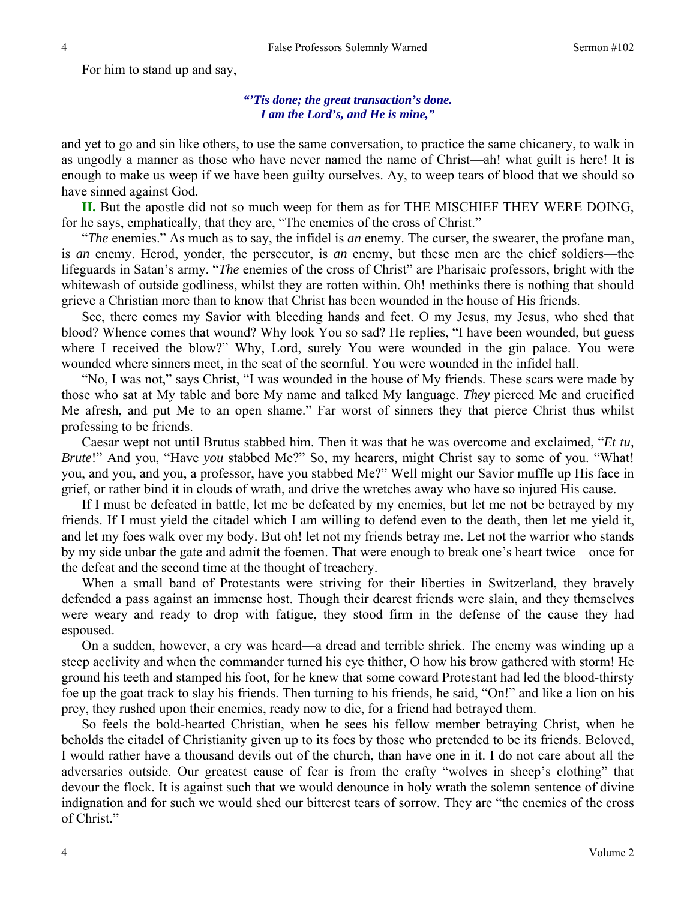For him to stand up and say,

## *"'Tis done; the great transaction's done. I am the Lord's, and He is mine,"*

and yet to go and sin like others, to use the same conversation, to practice the same chicanery, to walk in as ungodly a manner as those who have never named the name of Christ—ah! what guilt is here! It is enough to make us weep if we have been guilty ourselves. Ay, to weep tears of blood that we should so have sinned against God.

**II.** But the apostle did not so much weep for them as for THE MISCHIEF THEY WERE DOING, for he says, emphatically, that they are, "The enemies of the cross of Christ."

"*The* enemies." As much as to say, the infidel is *an* enemy. The curser, the swearer, the profane man, is *an* enemy. Herod, yonder, the persecutor, is *an* enemy, but these men are the chief soldiers—the lifeguards in Satan's army. "*The* enemies of the cross of Christ" are Pharisaic professors, bright with the whitewash of outside godliness, whilst they are rotten within. Oh! methinks there is nothing that should grieve a Christian more than to know that Christ has been wounded in the house of His friends.

See, there comes my Savior with bleeding hands and feet. O my Jesus, my Jesus, who shed that blood? Whence comes that wound? Why look You so sad? He replies, "I have been wounded, but guess where I received the blow?" Why, Lord, surely You were wounded in the gin palace. You were wounded where sinners meet, in the seat of the scornful. You were wounded in the infidel hall.

"No, I was not," says Christ, "I was wounded in the house of My friends. These scars were made by those who sat at My table and bore My name and talked My language. *They* pierced Me and crucified Me afresh, and put Me to an open shame." Far worst of sinners they that pierce Christ thus whilst professing to be friends.

Caesar wept not until Brutus stabbed him. Then it was that he was overcome and exclaimed, "*Et tu, Brute*!" And you, "Have *you* stabbed Me?" So, my hearers, might Christ say to some of you. "What! you, and you, and you, a professor, have you stabbed Me?" Well might our Savior muffle up His face in grief, or rather bind it in clouds of wrath, and drive the wretches away who have so injured His cause.

If I must be defeated in battle, let me be defeated by my enemies, but let me not be betrayed by my friends. If I must yield the citadel which I am willing to defend even to the death, then let me yield it, and let my foes walk over my body. But oh! let not my friends betray me. Let not the warrior who stands by my side unbar the gate and admit the foemen. That were enough to break one's heart twice—once for the defeat and the second time at the thought of treachery.

When a small band of Protestants were striving for their liberties in Switzerland, they bravely defended a pass against an immense host. Though their dearest friends were slain, and they themselves were weary and ready to drop with fatigue, they stood firm in the defense of the cause they had espoused.

On a sudden, however, a cry was heard—a dread and terrible shriek. The enemy was winding up a steep acclivity and when the commander turned his eye thither, O how his brow gathered with storm! He ground his teeth and stamped his foot, for he knew that some coward Protestant had led the blood-thirsty foe up the goat track to slay his friends. Then turning to his friends, he said, "On!" and like a lion on his prey, they rushed upon their enemies, ready now to die, for a friend had betrayed them.

So feels the bold-hearted Christian, when he sees his fellow member betraying Christ, when he beholds the citadel of Christianity given up to its foes by those who pretended to be its friends. Beloved, I would rather have a thousand devils out of the church, than have one in it. I do not care about all the adversaries outside. Our greatest cause of fear is from the crafty "wolves in sheep's clothing" that devour the flock. It is against such that we would denounce in holy wrath the solemn sentence of divine indignation and for such we would shed our bitterest tears of sorrow. They are "the enemies of the cross of Christ."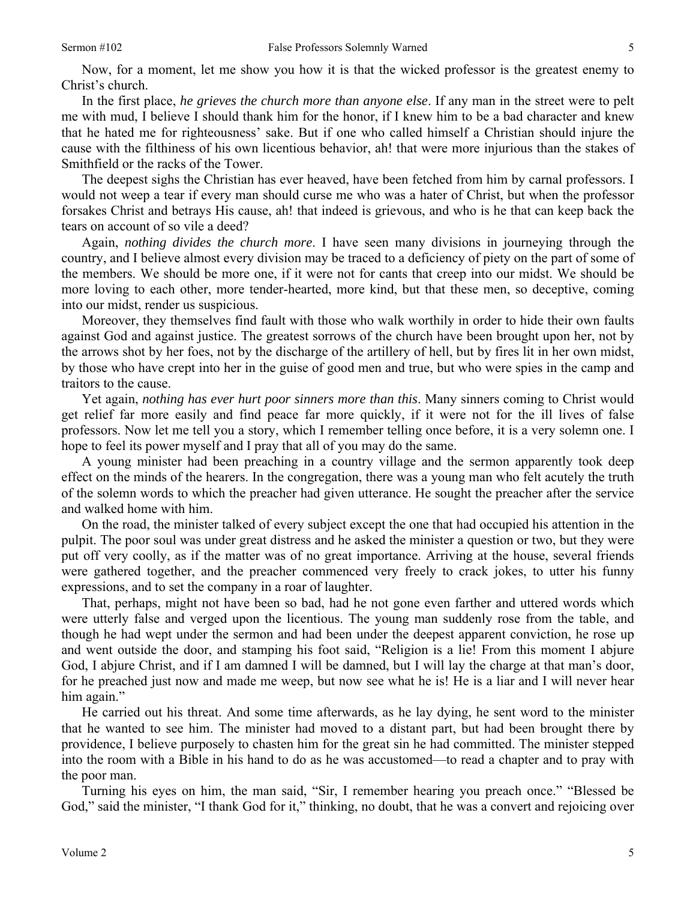Now, for a moment, let me show you how it is that the wicked professor is the greatest enemy to Christ's church.

In the first place, *he grieves the church more than anyone else*. If any man in the street were to pelt me with mud, I believe I should thank him for the honor, if I knew him to be a bad character and knew that he hated me for righteousness' sake. But if one who called himself a Christian should injure the cause with the filthiness of his own licentious behavior, ah! that were more injurious than the stakes of Smithfield or the racks of the Tower.

The deepest sighs the Christian has ever heaved, have been fetched from him by carnal professors. I would not weep a tear if every man should curse me who was a hater of Christ, but when the professor forsakes Christ and betrays His cause, ah! that indeed is grievous, and who is he that can keep back the tears on account of so vile a deed?

Again, *nothing divides the church more*. I have seen many divisions in journeying through the country, and I believe almost every division may be traced to a deficiency of piety on the part of some of the members. We should be more one, if it were not for cants that creep into our midst. We should be more loving to each other, more tender-hearted, more kind, but that these men, so deceptive, coming into our midst, render us suspicious.

Moreover, they themselves find fault with those who walk worthily in order to hide their own faults against God and against justice. The greatest sorrows of the church have been brought upon her, not by the arrows shot by her foes, not by the discharge of the artillery of hell, but by fires lit in her own midst, by those who have crept into her in the guise of good men and true, but who were spies in the camp and traitors to the cause.

Yet again, *nothing has ever hurt poor sinners more than this*. Many sinners coming to Christ would get relief far more easily and find peace far more quickly, if it were not for the ill lives of false professors. Now let me tell you a story, which I remember telling once before, it is a very solemn one. I hope to feel its power myself and I pray that all of you may do the same.

A young minister had been preaching in a country village and the sermon apparently took deep effect on the minds of the hearers. In the congregation, there was a young man who felt acutely the truth of the solemn words to which the preacher had given utterance. He sought the preacher after the service and walked home with him.

On the road, the minister talked of every subject except the one that had occupied his attention in the pulpit. The poor soul was under great distress and he asked the minister a question or two, but they were put off very coolly, as if the matter was of no great importance. Arriving at the house, several friends were gathered together, and the preacher commenced very freely to crack jokes, to utter his funny expressions, and to set the company in a roar of laughter.

That, perhaps, might not have been so bad, had he not gone even farther and uttered words which were utterly false and verged upon the licentious. The young man suddenly rose from the table, and though he had wept under the sermon and had been under the deepest apparent conviction, he rose up and went outside the door, and stamping his foot said, "Religion is a lie! From this moment I abjure God, I abjure Christ, and if I am damned I will be damned, but I will lay the charge at that man's door, for he preached just now and made me weep, but now see what he is! He is a liar and I will never hear him again."

He carried out his threat. And some time afterwards, as he lay dying, he sent word to the minister that he wanted to see him. The minister had moved to a distant part, but had been brought there by providence, I believe purposely to chasten him for the great sin he had committed. The minister stepped into the room with a Bible in his hand to do as he was accustomed—to read a chapter and to pray with the poor man.

Turning his eyes on him, the man said, "Sir, I remember hearing you preach once." "Blessed be God," said the minister, "I thank God for it," thinking, no doubt, that he was a convert and rejoicing over

5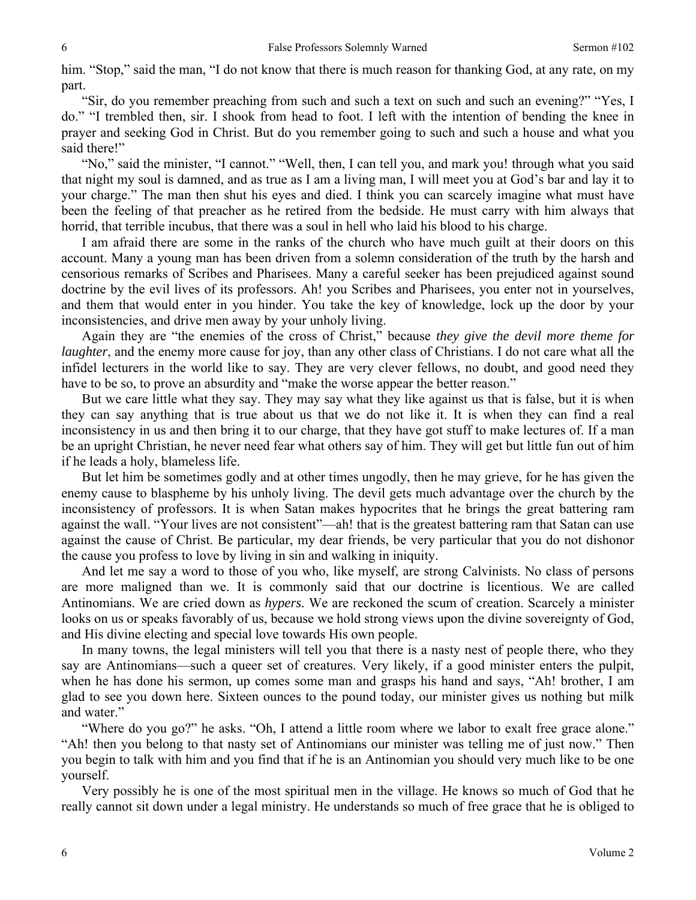him. "Stop," said the man, "I do not know that there is much reason for thanking God, at any rate, on my part.

"Sir, do you remember preaching from such and such a text on such and such an evening?" "Yes, I do." "I trembled then, sir. I shook from head to foot. I left with the intention of bending the knee in prayer and seeking God in Christ. But do you remember going to such and such a house and what you said there!"

"No," said the minister, "I cannot." "Well, then, I can tell you, and mark you! through what you said that night my soul is damned, and as true as I am a living man, I will meet you at God's bar and lay it to your charge." The man then shut his eyes and died. I think you can scarcely imagine what must have been the feeling of that preacher as he retired from the bedside. He must carry with him always that horrid, that terrible incubus, that there was a soul in hell who laid his blood to his charge.

I am afraid there are some in the ranks of the church who have much guilt at their doors on this account. Many a young man has been driven from a solemn consideration of the truth by the harsh and censorious remarks of Scribes and Pharisees. Many a careful seeker has been prejudiced against sound doctrine by the evil lives of its professors. Ah! you Scribes and Pharisees, you enter not in yourselves, and them that would enter in you hinder. You take the key of knowledge, lock up the door by your inconsistencies, and drive men away by your unholy living.

Again they are "the enemies of the cross of Christ," because *they give the devil more theme for laughter*, and the enemy more cause for joy, than any other class of Christians. I do not care what all the infidel lecturers in the world like to say. They are very clever fellows, no doubt, and good need they have to be so, to prove an absurdity and "make the worse appear the better reason."

But we care little what they say. They may say what they like against us that is false, but it is when they can say anything that is true about us that we do not like it. It is when they can find a real inconsistency in us and then bring it to our charge, that they have got stuff to make lectures of. If a man be an upright Christian, he never need fear what others say of him. They will get but little fun out of him if he leads a holy, blameless life.

But let him be sometimes godly and at other times ungodly, then he may grieve, for he has given the enemy cause to blaspheme by his unholy living. The devil gets much advantage over the church by the inconsistency of professors. It is when Satan makes hypocrites that he brings the great battering ram against the wall. "Your lives are not consistent"—ah! that is the greatest battering ram that Satan can use against the cause of Christ. Be particular, my dear friends, be very particular that you do not dishonor the cause you profess to love by living in sin and walking in iniquity.

And let me say a word to those of you who, like myself, are strong Calvinists. No class of persons are more maligned than we. It is commonly said that our doctrine is licentious. We are called Antinomians. We are cried down as *hypers.* We are reckoned the scum of creation. Scarcely a minister looks on us or speaks favorably of us, because we hold strong views upon the divine sovereignty of God, and His divine electing and special love towards His own people.

In many towns, the legal ministers will tell you that there is a nasty nest of people there, who they say are Antinomians—such a queer set of creatures. Very likely, if a good minister enters the pulpit, when he has done his sermon, up comes some man and grasps his hand and says, "Ah! brother, I am glad to see you down here. Sixteen ounces to the pound today, our minister gives us nothing but milk and water."

"Where do you go?" he asks. "Oh, I attend a little room where we labor to exalt free grace alone." "Ah! then you belong to that nasty set of Antinomians our minister was telling me of just now." Then you begin to talk with him and you find that if he is an Antinomian you should very much like to be one yourself.

Very possibly he is one of the most spiritual men in the village. He knows so much of God that he really cannot sit down under a legal ministry. He understands so much of free grace that he is obliged to

6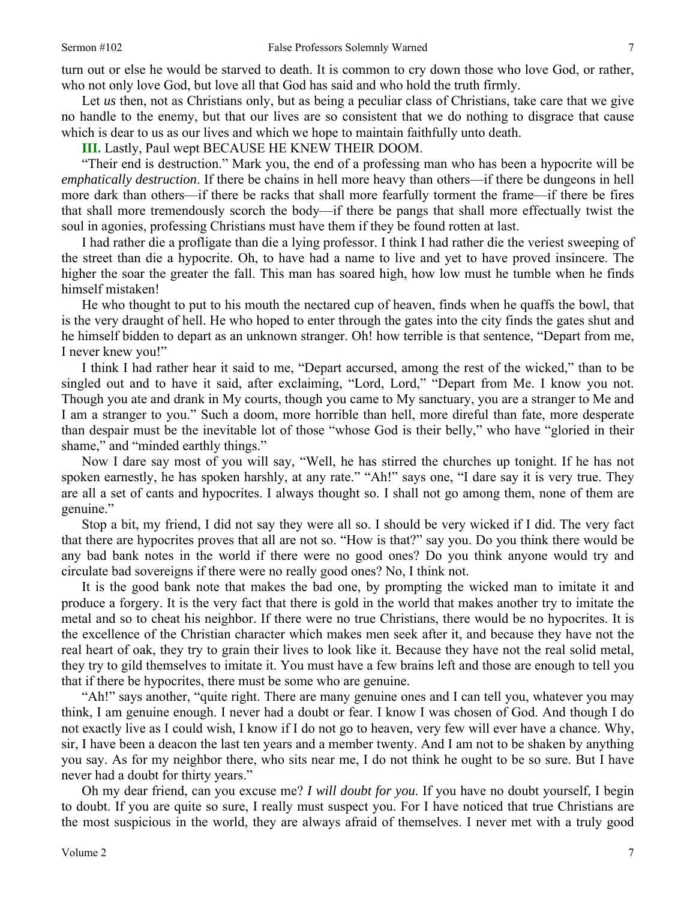turn out or else he would be starved to death. It is common to cry down those who love God, or rather, who not only love God, but love all that God has said and who hold the truth firmly.

Let *us* then, not as Christians only, but as being a peculiar class of Christians, take care that we give no handle to the enemy, but that our lives are so consistent that we do nothing to disgrace that cause which is dear to us as our lives and which we hope to maintain faithfully unto death.

**III.** Lastly, Paul wept BECAUSE HE KNEW THEIR DOOM.

"Their end is destruction." Mark you, the end of a professing man who has been a hypocrite will be *emphatically destruction*. If there be chains in hell more heavy than others—if there be dungeons in hell more dark than others—if there be racks that shall more fearfully torment the frame—if there be fires that shall more tremendously scorch the body—if there be pangs that shall more effectually twist the soul in agonies, professing Christians must have them if they be found rotten at last.

I had rather die a profligate than die a lying professor. I think I had rather die the veriest sweeping of the street than die a hypocrite. Oh, to have had a name to live and yet to have proved insincere. The higher the soar the greater the fall. This man has soared high, how low must he tumble when he finds himself mistaken!

He who thought to put to his mouth the nectared cup of heaven, finds when he quaffs the bowl, that is the very draught of hell. He who hoped to enter through the gates into the city finds the gates shut and he himself bidden to depart as an unknown stranger. Oh! how terrible is that sentence, "Depart from me, I never knew you!"

I think I had rather hear it said to me, "Depart accursed, among the rest of the wicked," than to be singled out and to have it said, after exclaiming, "Lord, Lord," "Depart from Me. I know you not. Though you ate and drank in My courts, though you came to My sanctuary, you are a stranger to Me and I am a stranger to you." Such a doom, more horrible than hell, more direful than fate, more desperate than despair must be the inevitable lot of those "whose God is their belly," who have "gloried in their shame," and "minded earthly things."

Now I dare say most of you will say, "Well, he has stirred the churches up tonight. If he has not spoken earnestly, he has spoken harshly, at any rate." "Ah!" says one, "I dare say it is very true. They are all a set of cants and hypocrites. I always thought so. I shall not go among them, none of them are genuine."

Stop a bit, my friend, I did not say they were all so. I should be very wicked if I did. The very fact that there are hypocrites proves that all are not so. "How is that?" say you. Do you think there would be any bad bank notes in the world if there were no good ones? Do you think anyone would try and circulate bad sovereigns if there were no really good ones? No, I think not.

It is the good bank note that makes the bad one, by prompting the wicked man to imitate it and produce a forgery. It is the very fact that there is gold in the world that makes another try to imitate the metal and so to cheat his neighbor. If there were no true Christians, there would be no hypocrites. It is the excellence of the Christian character which makes men seek after it, and because they have not the real heart of oak, they try to grain their lives to look like it. Because they have not the real solid metal, they try to gild themselves to imitate it. You must have a few brains left and those are enough to tell you that if there be hypocrites, there must be some who are genuine.

"Ah!" says another, "quite right. There are many genuine ones and I can tell you, whatever you may think, I am genuine enough. I never had a doubt or fear. I know I was chosen of God. And though I do not exactly live as I could wish, I know if I do not go to heaven, very few will ever have a chance. Why, sir, I have been a deacon the last ten years and a member twenty. And I am not to be shaken by anything you say. As for my neighbor there, who sits near me, I do not think he ought to be so sure. But I have never had a doubt for thirty years."

Oh my dear friend, can you excuse me? *I will doubt for you*. If you have no doubt yourself, I begin to doubt. If you are quite so sure, I really must suspect you. For I have noticed that true Christians are the most suspicious in the world, they are always afraid of themselves. I never met with a truly good